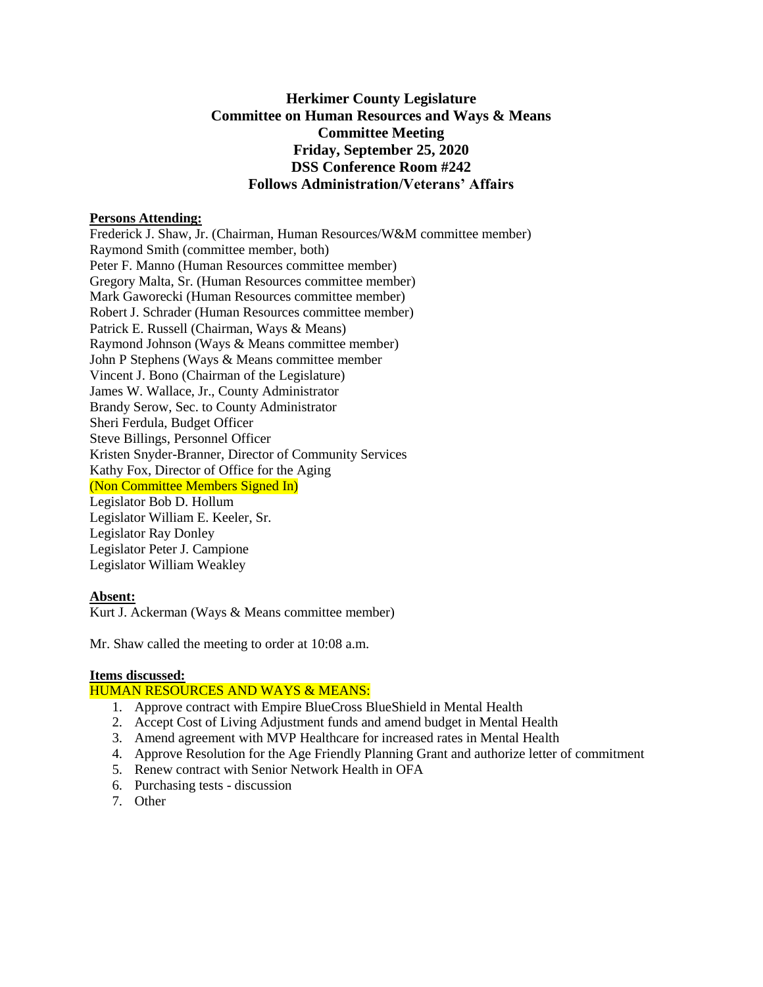# **Herkimer County Legislature Committee on Human Resources and Ways & Means Committee Meeting Friday, September 25, 2020 DSS Conference Room #242 Follows Administration/Veterans' Affairs**

### **Persons Attending:**

Frederick J. Shaw, Jr. (Chairman, Human Resources/W&M committee member) Raymond Smith (committee member, both) Peter F. Manno (Human Resources committee member) Gregory Malta, Sr. (Human Resources committee member) Mark Gaworecki (Human Resources committee member) Robert J. Schrader (Human Resources committee member) Patrick E. Russell (Chairman, Ways & Means) Raymond Johnson (Ways & Means committee member) John P Stephens (Ways & Means committee member Vincent J. Bono (Chairman of the Legislature) James W. Wallace, Jr., County Administrator Brandy Serow, Sec. to County Administrator Sheri Ferdula, Budget Officer Steve Billings, Personnel Officer Kristen Snyder-Branner, Director of Community Services Kathy Fox, Director of Office for the Aging (Non Committee Members Signed In) Legislator Bob D. Hollum Legislator William E. Keeler, Sr. Legislator Ray Donley Legislator Peter J. Campione Legislator William Weakley

# **Absent:**

Kurt J. Ackerman (Ways & Means committee member)

Mr. Shaw called the meeting to order at 10:08 a.m.

#### **Items discussed:**

#### HUMAN RESOURCES AND WAYS & MEANS:

- 1. Approve contract with Empire BlueCross BlueShield in Mental Health
- 2. Accept Cost of Living Adjustment funds and amend budget in Mental Health
- 3. Amend agreement with MVP Healthcare for increased rates in Mental Health
- 4. Approve Resolution for the Age Friendly Planning Grant and authorize letter of commitment
- 5. Renew contract with Senior Network Health in OFA
- 6. Purchasing tests discussion
- 7. Other